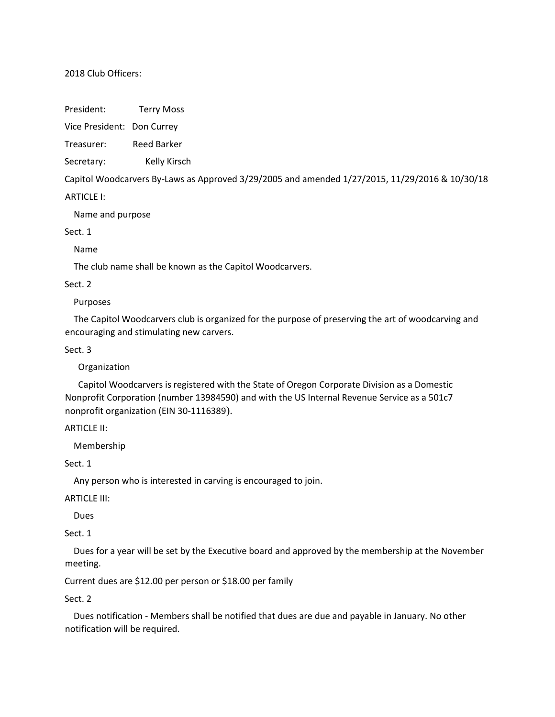## 2018 Club Officers:

President: Terry Moss

Vice President: Don Currey

Treasurer: Reed Barker

Secretary: Kelly Kirsch

Capitol Woodcarvers By-Laws as Approved 3/29/2005 and amended 1/27/2015, 11/29/2016 & 10/30/18

**ARTICLE I:** 

Name and purpose

Sect. 1

Name

The club name shall be known as the Capitol Woodcarvers.

### Sect. 2

Purposes

 The Capitol Woodcarvers club is organized for the purpose of preserving the art of woodcarving and encouraging and stimulating new carvers.

Sect. 3

Organization

 Capitol Woodcarvers is registered with the State of Oregon Corporate Division as a Domestic Nonprofit Corporation (number 13984590) and with the US Internal Revenue Service as a 501c7 nonprofit organization (EIN 30-1116389).

ARTICLE II:

Membership

Sect. 1

Any person who is interested in carving is encouraged to join.

ARTICLE III:

Dues

Sect. 1

 Dues for a year will be set by the Executive board and approved by the membership at the November meeting.

Current dues are \$12.00 per person or \$18.00 per family

Sect. 2

 Dues notification - Members shall be notified that dues are due and payable in January. No other notification will be required.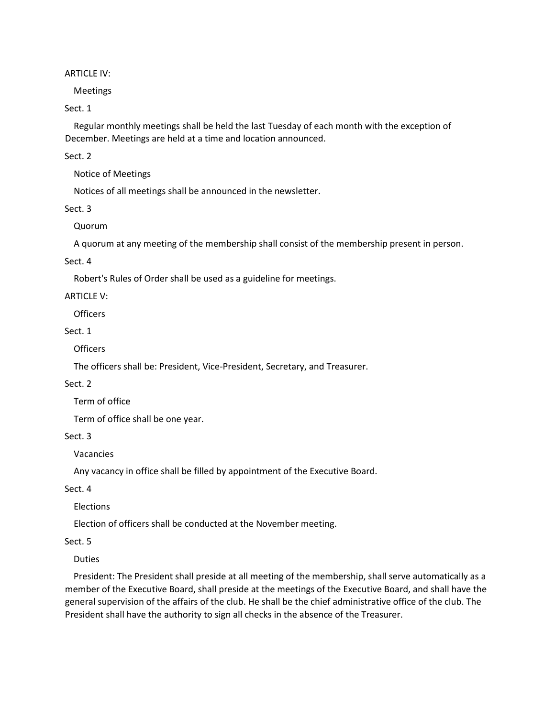### ARTICLE IV:

Meetings

Sect. 1

 Regular monthly meetings shall be held the last Tuesday of each month with the exception of December. Meetings are held at a time and location announced.

Sect. 2

Notice of Meetings

Notices of all meetings shall be announced in the newsletter.

Sect. 3

Quorum

A quorum at any meeting of the membership shall consist of the membership present in person.

Sect. 4

Robert's Rules of Order shall be used as a guideline for meetings.

ARTICLE V:

**Officers** 

Sect. 1

**Officers** 

The officers shall be: President, Vice-President, Secretary, and Treasurer.

Sect. 2

Term of office

Term of office shall be one year.

Sect. 3

Vacancies

Any vacancy in office shall be filled by appointment of the Executive Board.

Sect. 4

Elections

Election of officers shall be conducted at the November meeting.

Sect. 5

Duties

 President: The President shall preside at all meeting of the membership, shall serve automatically as a member of the Executive Board, shall preside at the meetings of the Executive Board, and shall have the general supervision of the affairs of the club. He shall be the chief administrative office of the club. The President shall have the authority to sign all checks in the absence of the Treasurer.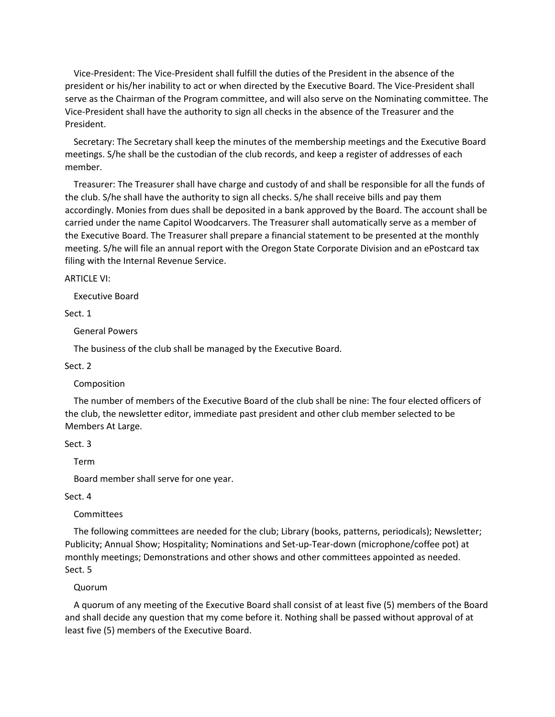Vice-President: The Vice-President shall fulfill the duties of the President in the absence of the president or his/her inability to act or when directed by the Executive Board. The Vice-President shall serve as the Chairman of the Program committee, and will also serve on the Nominating committee. The Vice-President shall have the authority to sign all checks in the absence of the Treasurer and the President.

 Secretary: The Secretary shall keep the minutes of the membership meetings and the Executive Board meetings. S/he shall be the custodian of the club records, and keep a register of addresses of each member.

 Treasurer: The Treasurer shall have charge and custody of and shall be responsible for all the funds of the club. S/he shall have the authority to sign all checks. S/he shall receive bills and pay them accordingly. Monies from dues shall be deposited in a bank approved by the Board. The account shall be carried under the name Capitol Woodcarvers. The Treasurer shall automatically serve as a member of the Executive Board. The Treasurer shall prepare a financial statement to be presented at the monthly meeting. S/he will file an annual report with the Oregon State Corporate Division and an ePostcard tax filing with the Internal Revenue Service.

ARTICLE VI:

Executive Board

Sect. 1

General Powers

The business of the club shall be managed by the Executive Board.

Sect. 2

Composition

 The number of members of the Executive Board of the club shall be nine: The four elected officers of the club, the newsletter editor, immediate past president and other club member selected to be Members At Large.

Sect. 3

Term

Board member shall serve for one year.

#### Sect. 4

Committees

 The following committees are needed for the club; Library (books, patterns, periodicals); Newsletter; Publicity; Annual Show; Hospitality; Nominations and Set-up-Tear-down (microphone/coffee pot) at monthly meetings; Demonstrations and other shows and other committees appointed as needed. Sect. 5

#### Quorum

 A quorum of any meeting of the Executive Board shall consist of at least five (5) members of the Board and shall decide any question that my come before it. Nothing shall be passed without approval of at least five (5) members of the Executive Board.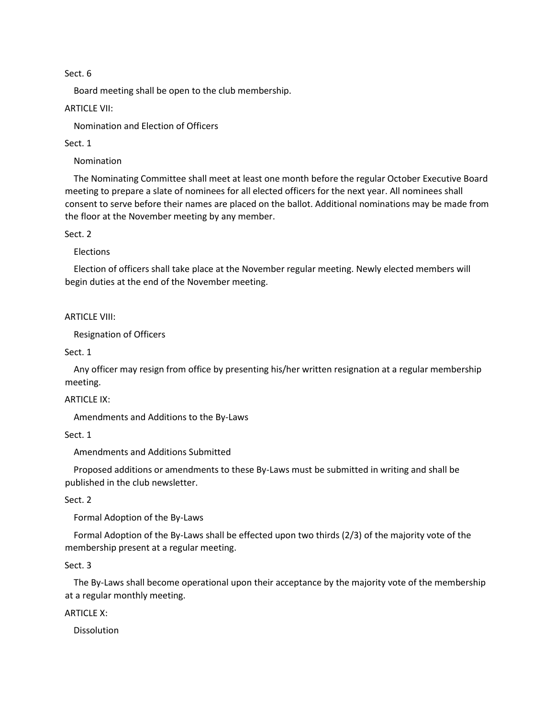### Sect. 6

Board meeting shall be open to the club membership.

ARTICLE VII:

Nomination and Election of Officers

Sect. 1

Nomination

 The Nominating Committee shall meet at least one month before the regular October Executive Board meeting to prepare a slate of nominees for all elected officers for the next year. All nominees shall consent to serve before their names are placed on the ballot. Additional nominations may be made from the floor at the November meeting by any member.

Sect. 2

Elections

 Election of officers shall take place at the November regular meeting. Newly elected members will begin duties at the end of the November meeting.

ARTICLE VIII:

Resignation of Officers

Sect. 1

 Any officer may resign from office by presenting his/her written resignation at a regular membership meeting.

ARTICLE IX:

Amendments and Additions to the By-Laws

Sect. 1

Amendments and Additions Submitted

 Proposed additions or amendments to these By-Laws must be submitted in writing and shall be published in the club newsletter.

Sect. 2

Formal Adoption of the By-Laws

 Formal Adoption of the By-Laws shall be effected upon two thirds (2/3) of the majority vote of the membership present at a regular meeting.

Sect. 3

 The By-Laws shall become operational upon their acceptance by the majority vote of the membership at a regular monthly meeting.

ARTICLE X:

Dissolution